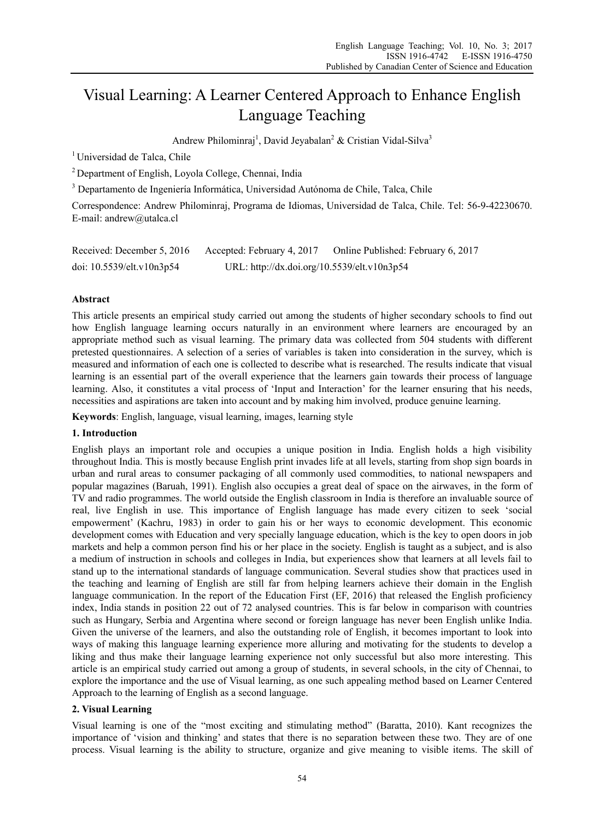# Visual Learning: A Learner Centered Approach to Enhance English Language Teaching

Andrew Philominraj<sup>1</sup>, David Jeyabalan<sup>2</sup> & Cristian Vidal-Silva<sup>3</sup>

<sup>1</sup> Universidad de Talca, Chile

2 Department of English, Loyola College, Chennai, India

<sup>3</sup> Departamento de Ingeniería Informática, Universidad Autónoma de Chile, Talca, Chile

Correspondence: Andrew Philominraj, Programa de Idiomas, Universidad de Talca, Chile. Tel: 56-9-42230670. E-mail: andrew@utalca.cl

| Received: December 5, 2016      | Accepted: February 4, 2017                  | Online Published: February 6, 2017 |
|---------------------------------|---------------------------------------------|------------------------------------|
| doi: $10.5539$ /elt.v $10n3p54$ | URL: http://dx.doi.org/10.5539/elt.v10n3p54 |                                    |

# **Abstract**

This article presents an empirical study carried out among the students of higher secondary schools to find out how English language learning occurs naturally in an environment where learners are encouraged by an appropriate method such as visual learning. The primary data was collected from 504 students with different pretested questionnaires. A selection of a series of variables is taken into consideration in the survey, which is measured and information of each one is collected to describe what is researched. The results indicate that visual learning is an essential part of the overall experience that the learners gain towards their process of language learning. Also, it constitutes a vital process of 'Input and Interaction' for the learner ensuring that his needs, necessities and aspirations are taken into account and by making him involved, produce genuine learning.

**Keywords**: English, language, visual learning, images, learning style

# **1. Introduction**

English plays an important role and occupies a unique position in India. English holds a high visibility throughout India. This is mostly because English print invades life at all levels, starting from shop sign boards in urban and rural areas to consumer packaging of all commonly used commodities, to national newspapers and popular magazines (Baruah, 1991). English also occupies a great deal of space on the airwaves, in the form of TV and radio programmes. The world outside the English classroom in India is therefore an invaluable source of real, live English in use. This importance of English language has made every citizen to seek 'social empowerment' (Kachru, 1983) in order to gain his or her ways to economic development. This economic development comes with Education and very specially language education, which is the key to open doors in job markets and help a common person find his or her place in the society. English is taught as a subject, and is also a medium of instruction in schools and colleges in India, but experiences show that learners at all levels fail to stand up to the international standards of language communication. Several studies show that practices used in the teaching and learning of English are still far from helping learners achieve their domain in the English language communication. In the report of the Education First (EF, 2016) that released the English proficiency index, India stands in position 22 out of 72 analysed countries. This is far below in comparison with countries such as Hungary, Serbia and Argentina where second or foreign language has never been English unlike India. Given the universe of the learners, and also the outstanding role of English, it becomes important to look into ways of making this language learning experience more alluring and motivating for the students to develop a liking and thus make their language learning experience not only successful but also more interesting. This article is an empirical study carried out among a group of students, in several schools, in the city of Chennai, to explore the importance and the use of Visual learning, as one such appealing method based on Learner Centered Approach to the learning of English as a second language.

# **2. Visual Learning**

Visual learning is one of the "most exciting and stimulating method" (Baratta, 2010). Kant recognizes the importance of 'vision and thinking' and states that there is no separation between these two. They are of one process. Visual learning is the ability to structure, organize and give meaning to visible items. The skill of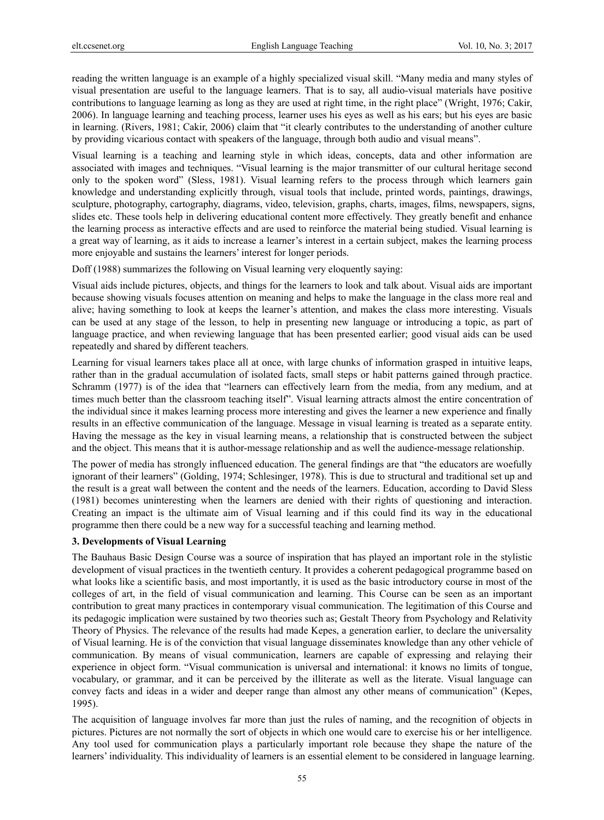reading the written language is an example of a highly specialized visual skill. "Many media and many styles of visual presentation are useful to the language learners. That is to say, all audio-visual materials have positive contributions to language learning as long as they are used at right time, in the right place" (Wright, 1976; Cakir, 2006). In language learning and teaching process, learner uses his eyes as well as his ears; but his eyes are basic in learning. (Rivers, 1981; Cakir, 2006) claim that "it clearly contributes to the understanding of another culture by providing vicarious contact with speakers of the language, through both audio and visual means".

Visual learning is a teaching and learning style in which ideas, concepts, data and other information are associated with images and techniques. "Visual learning is the major transmitter of our cultural heritage second only to the spoken word" (Sless, 1981). Visual learning refers to the process through which learners gain knowledge and understanding explicitly through, visual tools that include, printed words, paintings, drawings, sculpture, photography, cartography, diagrams, video, television, graphs, charts, images, films, newspapers, signs, slides etc. These tools help in delivering educational content more effectively. They greatly benefit and enhance the learning process as interactive effects and are used to reinforce the material being studied. Visual learning is a great way of learning, as it aids to increase a learner's interest in a certain subject, makes the learning process more enjoyable and sustains the learners' interest for longer periods.

Doff (1988) summarizes the following on Visual learning very eloquently saying:

Visual aids include pictures, objects, and things for the learners to look and talk about. Visual aids are important because showing visuals focuses attention on meaning and helps to make the language in the class more real and alive; having something to look at keeps the learner's attention, and makes the class more interesting. Visuals can be used at any stage of the lesson, to help in presenting new language or introducing a topic, as part of language practice, and when reviewing language that has been presented earlier; good visual aids can be used repeatedly and shared by different teachers.

Learning for visual learners takes place all at once, with large chunks of information grasped in intuitive leaps, rather than in the gradual accumulation of isolated facts, small steps or habit patterns gained through practice. Schramm (1977) is of the idea that "learners can effectively learn from the media, from any medium, and at times much better than the classroom teaching itself". Visual learning attracts almost the entire concentration of the individual since it makes learning process more interesting and gives the learner a new experience and finally results in an effective communication of the language. Message in visual learning is treated as a separate entity. Having the message as the key in visual learning means, a relationship that is constructed between the subject and the object. This means that it is author-message relationship and as well the audience-message relationship.

The power of media has strongly influenced education. The general findings are that "the educators are woefully ignorant of their learners" (Golding, 1974; Schlesinger, 1978). This is due to structural and traditional set up and the result is a great wall between the content and the needs of the learners. Education, according to David Sless (1981) becomes uninteresting when the learners are denied with their rights of questioning and interaction. Creating an impact is the ultimate aim of Visual learning and if this could find its way in the educational programme then there could be a new way for a successful teaching and learning method.

### **3. Developments of Visual Learning**

The Bauhaus Basic Design Course was a source of inspiration that has played an important role in the stylistic development of visual practices in the twentieth century. It provides a coherent pedagogical programme based on what looks like a scientific basis, and most importantly, it is used as the basic introductory course in most of the colleges of art, in the field of visual communication and learning. This Course can be seen as an important contribution to great many practices in contemporary visual communication. The legitimation of this Course and its pedagogic implication were sustained by two theories such as; Gestalt Theory from Psychology and Relativity Theory of Physics. The relevance of the results had made Kepes, a generation earlier, to declare the universality of Visual learning. He is of the conviction that visual language disseminates knowledge than any other vehicle of communication. By means of visual communication, learners are capable of expressing and relaying their experience in object form. "Visual communication is universal and international: it knows no limits of tongue, vocabulary, or grammar, and it can be perceived by the illiterate as well as the literate. Visual language can convey facts and ideas in a wider and deeper range than almost any other means of communication" (Kepes, 1995).

The acquisition of language involves far more than just the rules of naming, and the recognition of objects in pictures. Pictures are not normally the sort of objects in which one would care to exercise his or her intelligence. Any tool used for communication plays a particularly important role because they shape the nature of the learners' individuality. This individuality of learners is an essential element to be considered in language learning.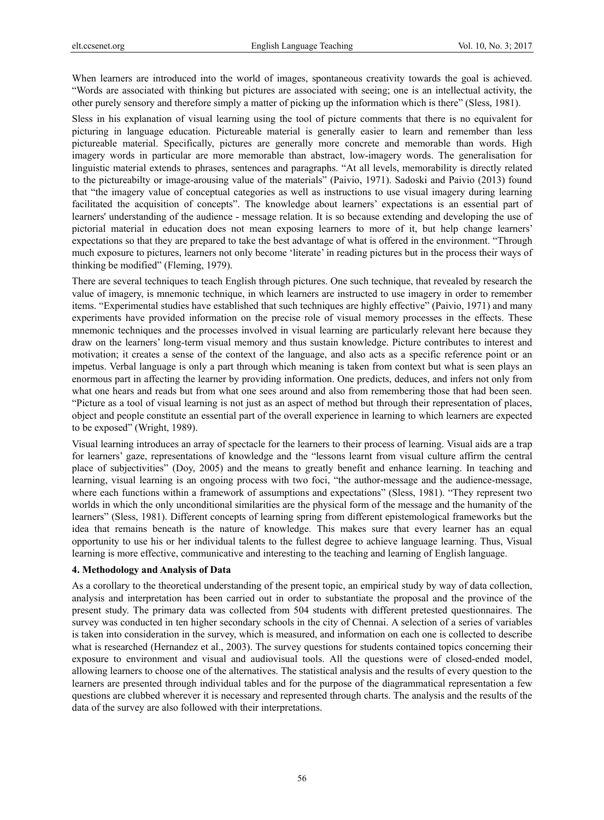When learners are introduced into the world of images, spontaneous creativity towards the goal is achieved. "Words are associated with thinking but pictures are associated with seeing; one is an intellectual activity, the other purely sensory and therefore simply a matter of picking up the information which is there" (Sless, 1981).

Sless in his explanation of visual learning using the tool of picture comments that there is no equivalent for picturing in language education. Pictureable material is generally easier to learn and remember than less pictureable material. Specifically, pictures are generally more concrete and memorable than words. High imagery words in particular are more memorable than abstract, low-imagery words. The generalisation for linguistic material extends to phrases, sentences and paragraphs. "At all levels, memorability is directly related to the pictureabilty or image-arousing value of the materials" (Paivio, 1971). Sadoski and Paivio (2013) found that "the imagery value of conceptual categories as well as instructions to use visual imagery during learning facilitated the acquisition of concepts". The knowledge about learners' expectations is an essential part of learners' understanding of the audience - message relation. It is so because extending and developing the use of pictorial material in education does not mean exposing learners to more of it, but help change learners' expectations so that they are prepared to take the best advantage of what is offered in the environment. "Through much exposure to pictures, learners not only become 'literate' in reading pictures but in the process their ways of thinking be modified" (Fleming, 1979).

There are several techniques to teach English through pictures. One such technique, that revealed by research the value of imagery, is mnemonic technique, in which learners are instructed to use imagery in order to remember items. "Experimental studies have established that such techniques are highly effective" (Paivio, 1971) and many experiments have provided information on the precise role of visual memory processes in the effects. These mnemonic techniques and the processes involved in visual learning are particularly relevant here because they draw on the learners' long-term visual memory and thus sustain knowledge. Picture contributes to interest and motivation; it creates a sense of the context of the language, and also acts as a specific reference point or an impetus. Verbal language is only a part through which meaning is taken from context but what is seen plays an enormous part in affecting the learner by providing information. One predicts, deduces, and infers not only from what one hears and reads but from what one sees around and also from remembering those that had been seen. "Picture as a tool of visual learning is not just as an aspect of method but through their representation of places, object and people constitute an essential part of the overall experience in learning to which learners are expected to be exposed" (Wright, 1989).

Visual learning introduces an array of spectacle for the learners to their process of learning. Visual aids are a trap for learners' gaze, representations of knowledge and the "lessons learnt from visual culture affirm the central place of subjectivities" (Doy, 2005) and the means to greatly benefit and enhance learning. In teaching and learning, visual learning is an ongoing process with two foci, "the author-message and the audience-message, where each functions within a framework of assumptions and expectations" (Sless, 1981). "They represent two worlds in which the only unconditional similarities are the physical form of the message and the humanity of the learners" (Sless, 1981). Different concepts of learning spring from different epistemological frameworks but the idea that remains beneath is the nature of knowledge. This makes sure that every learner has an equal opportunity to use his or her individual talents to the fullest degree to achieve language learning. Thus, Visual learning is more effective, communicative and interesting to the teaching and learning of English language.

#### **4. Methodology and Analysis of Data**

As a corollary to the theoretical understanding of the present topic, an empirical study by way of data collection, analysis and interpretation has been carried out in order to substantiate the proposal and the province of the present study. The primary data was collected from 504 students with different pretested questionnaires. The survey was conducted in ten higher secondary schools in the city of Chennai. A selection of a series of variables is taken into consideration in the survey, which is measured, and information on each one is collected to describe what is researched (Hernandez et al., 2003). The survey questions for students contained topics concerning their exposure to environment and visual and audiovisual tools. All the questions were of closed-ended model, allowing learners to choose one of the alternatives. The statistical analysis and the results of every question to the learners are presented through individual tables and for the purpose of the diagrammatical representation a few questions are clubbed wherever it is necessary and represented through charts. The analysis and the results of the data of the survey are also followed with their interpretations.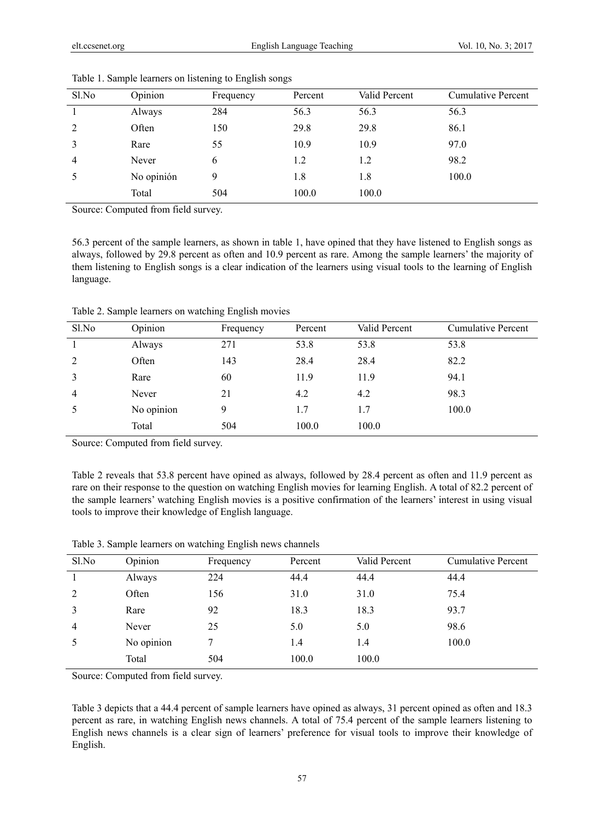| Sl.No          | Opinion    | Frequency | Percent | Valid Percent | <b>Cumulative Percent</b> |
|----------------|------------|-----------|---------|---------------|---------------------------|
|                | Always     | 284       | 56.3    | 56.3          | 56.3                      |
| 2              | Often      | 150       | 29.8    | 29.8          | 86.1                      |
| 3              | Rare       | 55        | 10.9    | 10.9          | 97.0                      |
| $\overline{4}$ | Never      | 6         | 1.2     | 1.2           | 98.2                      |
| 5              | No opinión | 9         | 1.8     | 1.8           | 100.0                     |
|                | Total      | 504       | 100.0   | 100.0         |                           |

Table 1. Sample learners on listening to English songs

Source: Computed from field survey.

56.3 percent of the sample learners, as shown in table 1, have opined that they have listened to English songs as always, followed by 29.8 percent as often and 10.9 percent as rare. Among the sample learners' the majority of them listening to English songs is a clear indication of the learners using visual tools to the learning of English language.

Table 2. Sample learners on watching English movies

| Sl.No          | Opinion    | Frequency | Percent | Valid Percent | Cumulative Percent |
|----------------|------------|-----------|---------|---------------|--------------------|
|                | Always     | 271       | 53.8    | 53.8          | 53.8               |
| 2              | Often      | 143       | 28.4    | 28.4          | 82.2               |
| 3              | Rare       | 60        | 11.9    | 11.9          | 94.1               |
| $\overline{4}$ | Never      | 21        | 4.2     | 4.2           | 98.3               |
| 5              | No opinion | 9         | 1.7     | 1.7           | 100.0              |
|                | Total      | 504       | 100.0   | 100.0         |                    |

Source: Computed from field survey.

Table 2 reveals that 53.8 percent have opined as always, followed by 28.4 percent as often and 11.9 percent as rare on their response to the question on watching English movies for learning English. A total of 82.2 percent of the sample learners' watching English movies is a positive confirmation of the learners' interest in using visual tools to improve their knowledge of English language.

| Table 3. Sample learners on watching English news channels |  |  |  |  |  |
|------------------------------------------------------------|--|--|--|--|--|
|------------------------------------------------------------|--|--|--|--|--|

| Sl.No | Opinion    | Frequency    | Percent | Valid Percent | Cumulative Percent |
|-------|------------|--------------|---------|---------------|--------------------|
|       | Always     | 224          | 44.4    | 44.4          | 44.4               |
| 2     | Often      | 156          | 31.0    | 31.0          | 75.4               |
|       | Rare       | 92           | 18.3    | 18.3          | 93.7               |
| 4     | Never      | 25           | 5.0     | 5.0           | 98.6               |
|       | No opinion | $\mathbf{7}$ | 1.4     | 1.4           | 100.0              |
|       | Total      | 504          | 100.0   | 100.0         |                    |

Source: Computed from field survey.

Table 3 depicts that a 44.4 percent of sample learners have opined as always, 31 percent opined as often and 18.3 percent as rare, in watching English news channels. A total of 75.4 percent of the sample learners listening to English news channels is a clear sign of learners' preference for visual tools to improve their knowledge of English.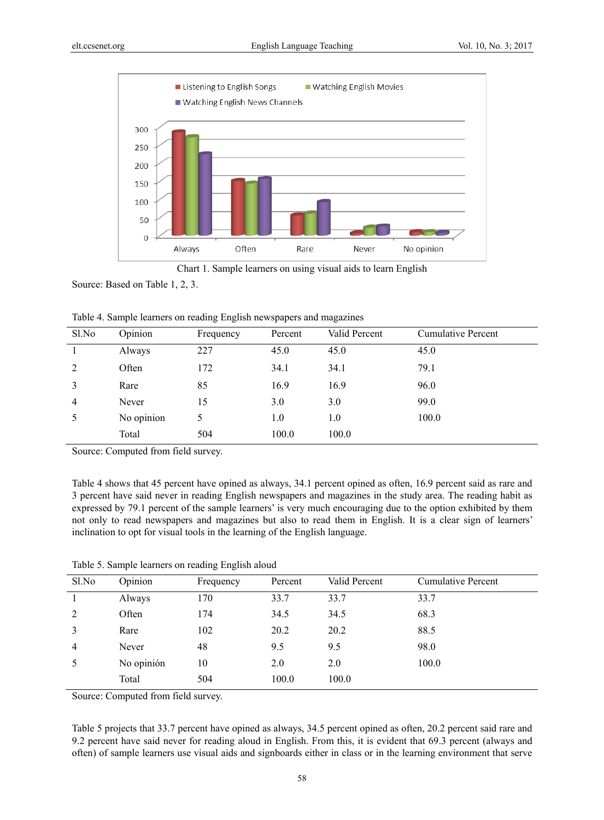

Chart 1. Sample learners on using visual aids to learn English

Source: Based on Table 1, 2, 3.

|       |         | __        |         |               |                           |
|-------|---------|-----------|---------|---------------|---------------------------|
| Sl.No | Opinion | Frequency | Percent | Valid Percent | <b>Cumulative Percent</b> |
|       | Always  | 227       | 45.0    | 45.0          | 45.0                      |
|       | Often   | 172       | 34.1    | 34.1          | 79.1                      |

3 Rare 85 16.9 16.9 96.0 4 Never 15 3.0 3.0 99.0 5 No opinion 5 1.0 1.0 100.0

Table 4. Sample learners on reading English newspapers and magazines

Total 504 100.0 100.0

Source: Computed from field survey.

Table 4 shows that 45 percent have opined as always, 34.1 percent opined as often, 16.9 percent said as rare and 3 percent have said never in reading English newspapers and magazines in the study area. The reading habit as expressed by 79.1 percent of the sample learners' is very much encouraging due to the option exhibited by them not only to read newspapers and magazines but also to read them in English. It is a clear sign of learners' inclination to opt for visual tools in the learning of the English language.

Table 5. Sample learners on reading English aloud

| Opinion    | Frequency | Percent | Valid Percent | Cumulative Percent |
|------------|-----------|---------|---------------|--------------------|
| Always     | 170       | 33.7    | 33.7          | 33.7               |
| Often      | 174       | 34.5    | 34.5          | 68.3               |
| Rare       | 102       | 20.2    | 20.2          | 88.5               |
| Never      | 48        | 9.5     | 9.5           | 98.0               |
| No opinión | 10        | 2.0     | 2.0           | 100.0              |
| Total      | 504       | 100.0   | 100.0         |                    |
|            |           |         |               |                    |

Source: Computed from field survey.

Table 5 projects that 33.7 percent have opined as always, 34.5 percent opined as often, 20.2 percent said rare and 9.2 percent have said never for reading aloud in English. From this, it is evident that 69.3 percent (always and often) of sample learners use visual aids and signboards either in class or in the learning environment that serve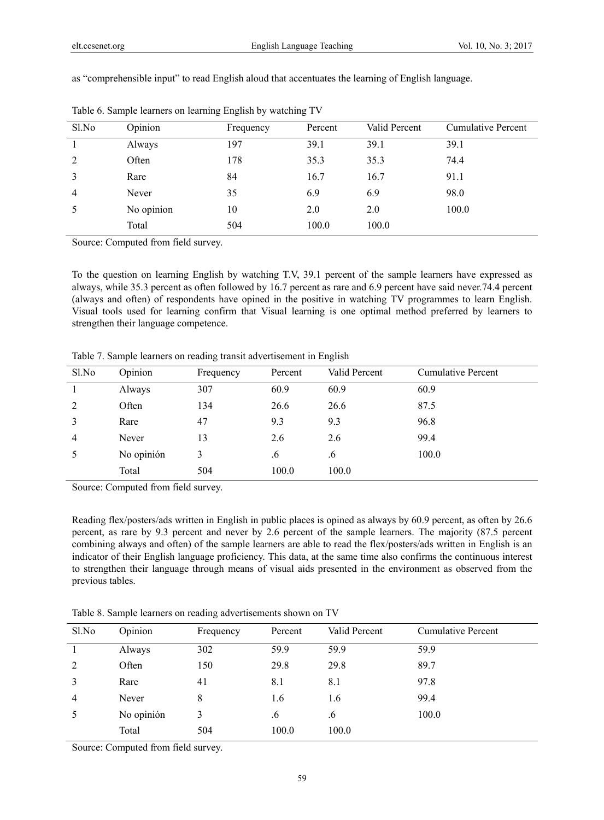| Table 6. Sample learners on learning English by watching TV |            |           |         |               |                    |  |  |
|-------------------------------------------------------------|------------|-----------|---------|---------------|--------------------|--|--|
| Sl.No                                                       | Opinion    | Frequency | Percent | Valid Percent | Cumulative Percent |  |  |
|                                                             | Always     | 197       | 39.1    | 39.1          | 39.1               |  |  |
| 2                                                           | Often      | 178       | 35.3    | 35.3          | 74.4               |  |  |
| 3                                                           | Rare       | 84        | 16.7    | 16.7          | 91.1               |  |  |
| $\overline{4}$                                              | Never      | 35        | 6.9     | 6.9           | 98.0               |  |  |
| 5                                                           | No opinion | 10        | 2.0     | 2.0           | 100.0              |  |  |
|                                                             | Total      | 504       | 100.0   | 100.0         |                    |  |  |

as "comprehensible input" to read English aloud that accentuates the learning of English language.

Source: Computed from field survey.

To the question on learning English by watching T.V, 39.1 percent of the sample learners have expressed as always, while 35.3 percent as often followed by 16.7 percent as rare and 6.9 percent have said never.74.4 percent (always and often) of respondents have opined in the positive in watching TV programmes to learn English. Visual tools used for learning confirm that Visual learning is one optimal method preferred by learners to strengthen their language competence.

| Sl.No          | Opinion    | Frequency | Percent | Valid Percent | <b>Cumulative Percent</b> |
|----------------|------------|-----------|---------|---------------|---------------------------|
| $\mathbf{1}$   | Always     | 307       | 60.9    | 60.9          | 60.9                      |
| 2              | Often      | 134       | 26.6    | 26.6          | 87.5                      |
| 3              | Rare       | 47        | 9.3     | 9.3           | 96.8                      |
| $\overline{4}$ | Never      | 13        | 2.6     | 2.6           | 99.4                      |
| 5              | No opinión | 3         | .6      | .6            | 100.0                     |
|                | Total      | 504       | 100.0   | 100.0         |                           |

Table 7. Sample learners on reading transit advertisement in English

Source: Computed from field survey.

Reading flex/posters/ads written in English in public places is opined as always by 60.9 percent, as often by 26.6 percent, as rare by 9.3 percent and never by 2.6 percent of the sample learners. The majority (87.5 percent combining always and often) of the sample learners are able to read the flex/posters/ads written in English is an indicator of their English language proficiency. This data, at the same time also confirms the continuous interest to strengthen their language through means of visual aids presented in the environment as observed from the previous tables.

Table 8. Sample learners on reading advertisements shown on TV

| Sl.No | Opinion    | Frequency | Percent | Valid Percent | <b>Cumulative Percent</b> |
|-------|------------|-----------|---------|---------------|---------------------------|
|       | Always     | 302       | 59.9    | 59.9          | 59.9                      |
| 2     | Often      | 150       | 29.8    | 29.8          | 89.7                      |
| 3     | Rare       | 41        | 8.1     | 8.1           | 97.8                      |
| 4     | Never      | 8         | 1.6     | 1.6           | 99.4                      |
|       | No opinión | 3         | .6      | .6            | 100.0                     |
|       | Total      | 504       | 100.0   | 100.0         |                           |

Source: Computed from field survey.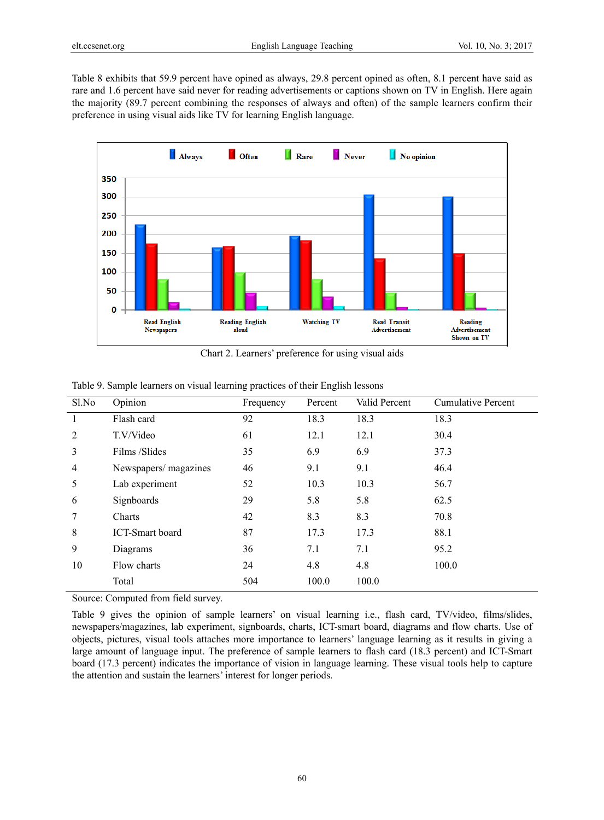Table 8 exhibits that 59.9 percent have opined as always, 29.8 percent opined as often, 8.1 percent have said as rare and 1.6 percent have said never for reading advertisements or captions shown on TV in English. Here again the majority (89.7 percent combining the responses of always and often) of the sample learners confirm their preference in using visual aids like TV for learning English language.



Chart 2. Learners' preference for using visual aids

| Sl.No          | Opinion                | Frequency | Percent | Valid Percent | Cumulative Percent |
|----------------|------------------------|-----------|---------|---------------|--------------------|
| -1             | Flash card             | 92        | 18.3    | 18.3          | 18.3               |
| 2              | T.V/Video              | 61        | 12.1    | 12.1          | 30.4               |
| 3              | Films /Slides          | 35        | 6.9     | 6.9           | 37.3               |
| $\overline{4}$ | Newspapers/magazines   | 46        | 9.1     | 9.1           | 46.4               |
| 5              | Lab experiment         | 52        | 10.3    | 10.3          | 56.7               |
| 6              | Signboards             | 29        | 5.8     | 5.8           | 62.5               |
| 7              | Charts                 | 42        | 8.3     | 8.3           | 70.8               |
| 8              | <b>ICT-Smart</b> board | 87        | 17.3    | 17.3          | 88.1               |
| 9              | Diagrams               | 36        | 7.1     | 7.1           | 95.2               |
| 10             | Flow charts            | 24        | 4.8     | 4.8           | 100.0              |
|                | Total                  | 504       | 100.0   | 100.0         |                    |

Table 9. Sample learners on visual learning practices of their English lessons

Source: Computed from field survey.

Table 9 gives the opinion of sample learners' on visual learning i.e., flash card, TV/video, films/slides, newspapers/magazines, lab experiment, signboards, charts, ICT-smart board, diagrams and flow charts. Use of objects, pictures, visual tools attaches more importance to learners' language learning as it results in giving a large amount of language input. The preference of sample learners to flash card (18.3 percent) and ICT-Smart board (17.3 percent) indicates the importance of vision in language learning. These visual tools help to capture the attention and sustain the learners' interest for longer periods.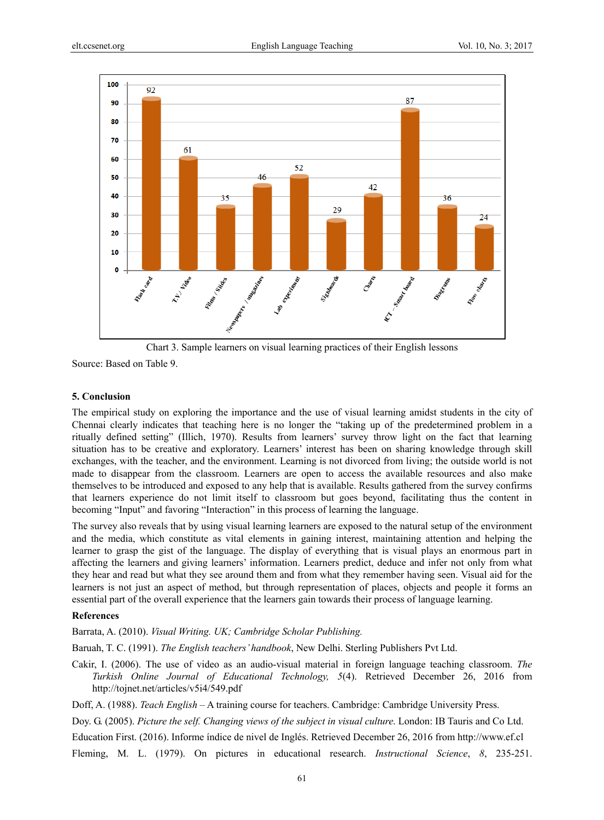



Source: Based on Table 9.

#### **5. Conclusion**

The empirical study on exploring the importance and the use of visual learning amidst students in the city of Chennai clearly indicates that teaching here is no longer the "taking up of the predetermined problem in a ritually defined setting" (Illich, 1970). Results from learners' survey throw light on the fact that learning situation has to be creative and exploratory. Learners' interest has been on sharing knowledge through skill exchanges, with the teacher, and the environment. Learning is not divorced from living; the outside world is not made to disappear from the classroom. Learners are open to access the available resources and also make themselves to be introduced and exposed to any help that is available. Results gathered from the survey confirms that learners experience do not limit itself to classroom but goes beyond, facilitating thus the content in becoming "Input" and favoring "Interaction" in this process of learning the language.

The survey also reveals that by using visual learning learners are exposed to the natural setup of the environment and the media, which constitute as vital elements in gaining interest, maintaining attention and helping the learner to grasp the gist of the language. The display of everything that is visual plays an enormous part in affecting the learners and giving learners' information. Learners predict, deduce and infer not only from what they hear and read but what they see around them and from what they remember having seen. Visual aid for the learners is not just an aspect of method, but through representation of places, objects and people it forms an essential part of the overall experience that the learners gain towards their process of language learning.

## **References**

Barrata, A. (2010). *Visual Writing. UK; Cambridge Scholar Publishing.* 

Baruah, T. C. (1991). *The English teachers' handbook*, New Delhi. Sterling Publishers Pvt Ltd.

Cakir, I. (2006). The use of video as an audio-visual material in foreign language teaching classroom. *The Turkish Online Journal of Educational Technology, 5*(4). Retrieved December 26, 2016 from http://tojnet.net/articles/v5i4/549.pdf

Doff, A. (1988). *Teach English* – A training course for teachers. Cambridge: Cambridge University Press.

Doy. G. (2005). *Picture the self. Changing views of the subject in visual culture*. London: IB Tauris and Co Ltd.

Education First. (2016). Informe índice de nivel de Inglés. Retrieved December 26, 2016 from http://www.ef.cl

Fleming, M. L. (1979). On pictures in educational research. *Instructional Science*, *8*, 235-251.